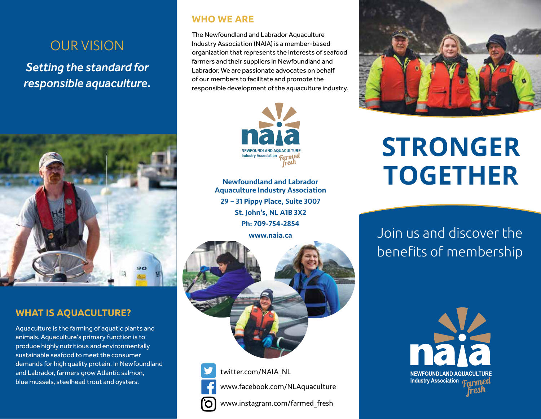## OUR VISION

*Setting the standard for responsible aquaculture.*



### **WHAT IS AQUACULTURE?**

Aquaculture is the farming of aquatic plants and animals. Aquaculture's primary function is to produce highly nutritious and environmentally sustainable seafood to meet the consumer demands for high quality protein. In Newfoundland and Labrador, farmers grow Atlantic salmon, blue mussels, steelhead trout and oysters.

## **WHO WE ARE**

The Newfoundland and Labrador Aquaculture Industry Association (NAIA) is a member-based organization that represents the interests of seafood farmers and their suppliers in Newfoundland and Labrador. We are passionate advocates on behalf of our members to facilitate and promote the responsible development of the aquaculture industry.



Newfoundland and Labrador Aquaculture Industry Association 29 – 31 Pippy Place, Suite 3007 St. John's, NL A1B 3X2 Ph: 709-754-2854

www.naia.ca



twitter.com/NAIA\_NL www.facebook.com/NLAquaculture www.instagram.com/farmed\_fresh



# **STRONGER TOGETHER**

Join us and discover the benefits of membership